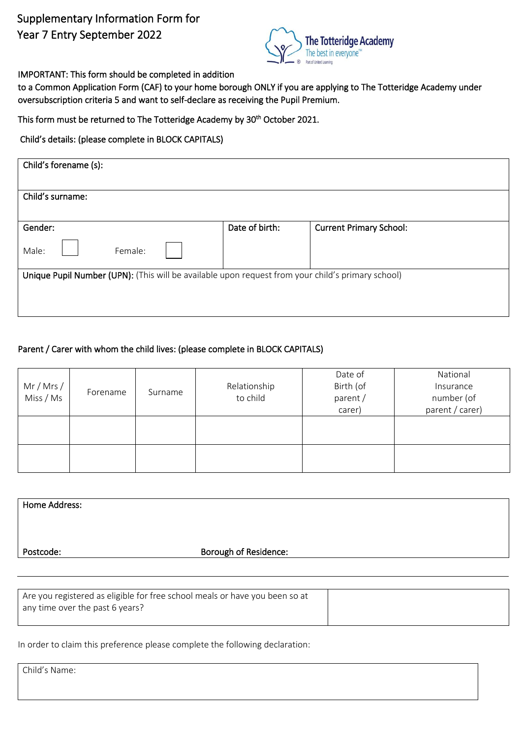## Supplementary Information Form for Year 7 Entry September 2022



IMPORTANT: This form should be completed in addition

to a Common Application Form (CAF) to your home borough ONLY if you are applying to The Totteridge Academy under oversubscription criteria 5 and want to self-declare as receiving the Pupil Premium.

This form must be returned to The Totteridge Academy by 30<sup>th</sup> October 2021.

Child's details: (please complete in BLOCK CAPITALS)

| Child's forename (s):                                                                             |                |                                |  |  |
|---------------------------------------------------------------------------------------------------|----------------|--------------------------------|--|--|
| Child's surname:                                                                                  |                |                                |  |  |
| Gender:                                                                                           | Date of birth: | <b>Current Primary School:</b> |  |  |
| Male:<br>Female:                                                                                  |                |                                |  |  |
| Unique Pupil Number (UPN): (This will be available upon request from your child's primary school) |                |                                |  |  |
|                                                                                                   |                |                                |  |  |
|                                                                                                   |                |                                |  |  |

## Parent / Carer with whom the child lives: (please complete in BLOCK CAPITALS)

| Mr / Mrs /<br>Miss / Ms | Forename | Surname | Relationship<br>to child | Date of<br>Birth (of<br>parent /<br>carer) | National<br>Insurance<br>number (of<br>parent / carer) |
|-------------------------|----------|---------|--------------------------|--------------------------------------------|--------------------------------------------------------|
|                         |          |         |                          |                                            |                                                        |
|                         |          |         |                          |                                            |                                                        |

| Home Address: |                              |
|---------------|------------------------------|
|               |                              |
|               |                              |
| Postcode:     | <b>Borough of Residence:</b> |
|               |                              |

| Are you registered as eligible for free school meals or have you been so at |  |
|-----------------------------------------------------------------------------|--|
| any time over the past 6 years?                                             |  |
|                                                                             |  |

In order to claim this preference please complete the following declaration:

Child's Name: